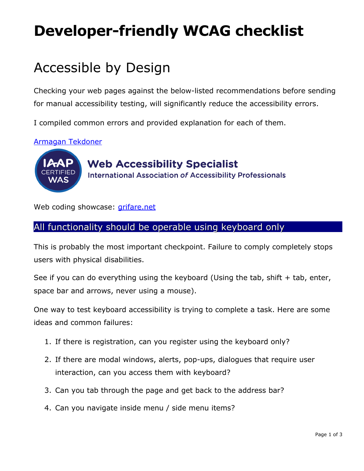# **Developer-friendly WCAG checklist**

## Accessible by Design

Checking your web pages against the below-listed recommendations before sending for manual accessibility testing, will significantly reduce the accessibility errors.

I compiled common errors and provided explanation for each of them.

[Armagan Tekdoner](mailto:a@grifare.ca?subject=Sent%20from%20grifare.net/WCAG)



## **Web Accessibility Specialist International Association of Accessibility Professionals**

Web coding showcase: *grifare.net* 

#### All functionality should be operable using keyboard only

This is probably the most important checkpoint. Failure to comply completely stops users with physical disabilities.

See if you can do everything using the keyboard (Using the tab, shift  $+$  tab, enter, space bar and arrows, never using a mouse).

One way to test keyboard accessibility is trying to complete a task. Here are some ideas and common failures:

- 1. If there is registration, can you register using the keyboard only?
- 2. If there are modal windows, alerts, pop-ups, dialogues that require user interaction, can you access them with keyboard?
- 3. Can you tab through the page and get back to the address bar?
- 4. Can you navigate inside menu / side menu items?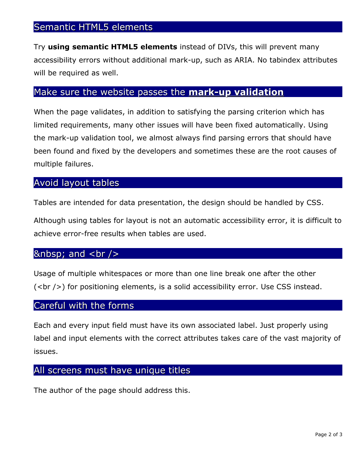#### Semantic HTML5 elements

Try **using semantic HTML5 elements** instead of DIVs, this will prevent many accessibility errors without additional mark-up, such as ARIA. No tabindex attributes will be required as well.

## Make sure the website passes the **[mark-up validation](https://validator.w3.org/nu/)**

When the page validates, in addition to satisfying the parsing criterion which has limited requirements, many other issues will have been fixed automatically. Using the mark-up validation tool, we almost always find parsing errors that should have been found and fixed by the developers and sometimes these are the root causes of multiple failures.

#### Avoid layout tables

Tables are intended for data presentation, the design should be handled by CSS.

Although using tables for layout is not an automatic accessibility error, it is difficult to achieve error-free results when tables are used.

#### $\&$ nbsp; and <br />

Usage of multiple whitespaces or more than one line break one after the other  $(<$ br  $/$ ) for positioning elements, is a solid accessibility error. Use CSS instead.

#### Careful with the forms

Each and every input field must have its own associated label. Just properly using label and input elements with the correct attributes takes care of the vast majority of issues.

#### All screens must have unique titles

The author of the page should address this.